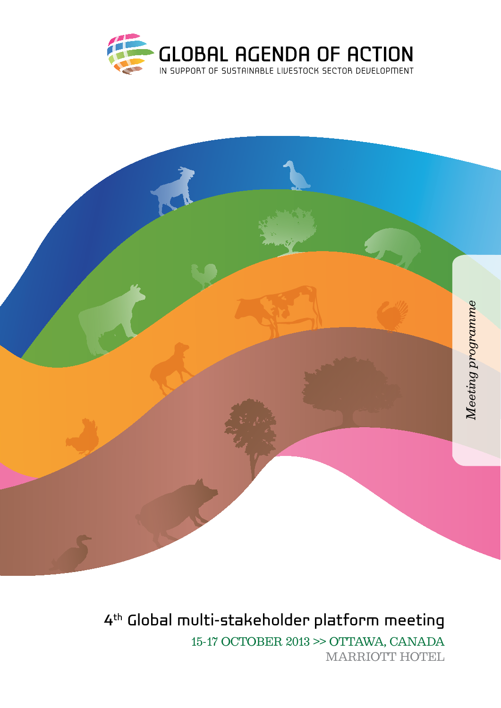



4th Global multi-stakeholder platform meeting 15-17 october 2013 >> ottawa, canada MARRIOTT HOTEL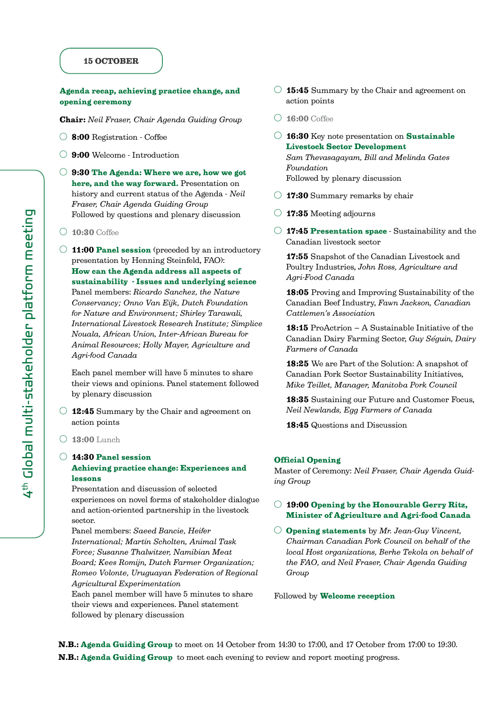#### 15 OCTOBER

## Agenda recap, achieving practice change, and opening ceremony

Chair: *Neil Fraser, Chair Agenda Guiding Group*

- 8:00 Registration Coffee
- 9:00 Welcome Introduction
- $\bigcirc$  9:30 The Agenda: Where we are, how we got here, and the way forward. Presentation on history and current status of the Agenda - *Neil Fraser, Chair Agenda Guiding Group*  Followed by questions and plenary discussion
- $\bigcirc$  10:30 Coffee
- $\bigcirc$  11:00 Panel session (preceded by an introductory presentation by Henning Steinfeld, FAO): How can the Agenda address all aspects of sustainability - Issues and underlying science Panel members: *Ricardo Sanchez, the Nature Conservancy; Onno Van Eijk, Dutch Foundation for Nature and Environment; Shirley Tarawali, International Livestock Research Institute; Simplice Nouala, African Union, Inter-African Bureau for Animal Resources; Holly Mayer, Agriculture and Agri-food Canada*

Each panel member will have 5 minutes to share their views and opinions. Panel statement followed by plenary discussion

- $\bigcirc$  12:45 Summary by the Chair and agreement on action points
- $\bigcirc$  13:00 Lunch

#### 14:30 Panel session Achieving practice change: Experiences and lessons

Presentation and discussion of selected experiences on novel forms of stakeholder dialogue and action-oriented partnership in the livestock sector.

Panel members: *Saeed Bancie, Heifer International; Martin Scholten, Animal Task Force; Susanne Thalwitzer, Namibian Meat Board; Kees Romijn, Dutch Farmer Organization; Romeo Volonte, Uruguayan Federation of Regional Agricultural Experimentation*

Each panel member will have 5 minutes to share their views and experiences. Panel statement followed by plenary discussion

- $\bigcirc$  15:45 Summary by the Chair and agreement on action points
- $\bigcirc$  16:00 Coffee
- $\circ$  16:30 Key note presentation on Sustainable Livestock Sector Development *Sam Thevasagayam, Bill and Melinda Gates Foundation* Followed by plenary discussion
- $\bigcirc$  17:30 Summary remarks by chair
- $\bigcirc$  17:35 Meeting adjourns
- $\bigcirc$  17:45 Presentation space Sustainability and the Canadian livestock sector

17:55 Snapshot of the Canadian Livestock and Poultry Industries, *John Ross, Agriculture and Agri-Food Canada*

18:05 Proving and Improving Sustainability of the Canadian Beef Industry, *Fawn Jackson, Canadian Cattlemen's Association*

18:15 ProActrion – A Sustainable Initiative of the Canadian Dairy Farming Sector, *Guy Séguin, Dairy Farmers of Canada*

18:25 We are Part of the Solution: A snapshot of Canadian Pork Sector Sustainability Initiatives, *Mike Teillet, Manager, Manitoba Pork Council*

18:35 Sustaining our Future and Customer Focus, *Neil Newlands, Egg Farmers of Canada*

18:45 Questions and Discussion

#### Official Opening

Master of Ceremony: *Neil Fraser, Chair Agenda Guiding Group*

## $\bigcirc$  19:00 Opening by the Honourable Gerry Ritz, Minister of Agriculture and Agri-food Canada

Opening statements by *Mr. Jean-Guy Vincent, Chairman Canadian Pork Council on behalf of the local Host organizations, Berhe Tekola on behalf of the FAO, and Neil Fraser, Chair Agenda Guiding Group* 

Followed by Welcome reception

N.B.: Agenda Guiding Group to meet on 14 October from 14:30 to 17:00, and 17 October from 17:00 to 19:30. N.B.: Agenda Guiding Group to meet each evening to review and report meeting progress.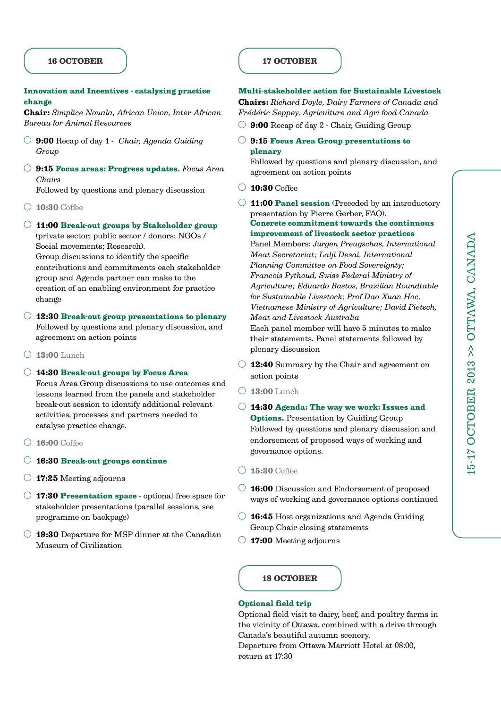## 16 OCTOBER

## Innovation and Incentives - catalysing practice change

Chair: *Simplice Nouala, African Union, Inter-African Bureau for Animal Resources*

- 9:00 Recap of day 1 *Chair, Agenda Guiding Group*
- 9:15 Focus areas: Progress updates. *Focus Area Chairs*

Followed by questions and plenary discussion

- 10:30 Coffee
- 11:00 Break-out groups by Stakeholder group (private sector; public sector / donors; NGOs / Social movements; Research).

Group discussions to identify the specific contributions and commitments each stakeholder group and Agenda partner can make to the creation of an enabling environment for practice change

- $\bigcirc$  12:30 Break-out group presentations to plenary Followed by questions and plenary discussion, and agreement on action points
- $\bigcirc$  13:00 Lunch
- 14:30 Break-out groups by Focus Area

Focus Area Group discussions to use outcomes and lessons learned from the panels and stakeholder break-out session to identify additional relevant activities, processes and partners needed to catalyse practice change.

- $\bigcirc$  16:00 Coffee
- 16:30 Break-out groups continue
- 17:25 Meeting adjourns
- $\bigcirc$  17:30 Presentation space optional free space for stakeholder presentations (parallel sessions, see programme on backpage)
- $\bigcirc$  19:30 Departure for MSP dinner at the Canadian Museum of Civilization

# 17 OCTOBER

# Multi-stakeholder action for Sustainable Livestock

Chairs: *Richard Doyle, Dairy Farmers of Canada and Frédéric Seppey, Agriculture and Agri-food Canada*

- $\bigcirc$  9:00 Recap of day 2 Chair, Guiding Group
- 9:15 Focus Area Group presentations to plenary

Followed by questions and plenary discussion, and agreement on action points

- $\bigcirc$  10:30 Coffee
- $\bigcirc$  11:00 Panel session (Preceded by an introductory presentation by Pierre Gerber, FAO). Concrete commitment towards the continuous

improvement of livestock sector practices Panel Members: *Jurgen Preugschas, International Meat Secretariat; Lalji Desai, International Planning Committee on Food Sovereignty; Francois Pythoud, Swiss Federal Ministry of Agriculture; Eduardo Bastos, Brazilian Roundtable for Sustainable Livestock; Prof Dao Xuan Hoc, Vietnamese Ministry of Agriculture; David Pietsch, Meat and Livestock Australia* Each panel member will have 5 minutes to make their statements. Panel statements followed by plenary discussion

- $\bigcirc$  12:40 Summary by the Chair and agreement on action points
- $\bigcirc$  13:00 Lunch
- $\bigcirc$  14:30 Agenda: The way we work: Issues and **Options.** Presentation by Guiding Group Followed by questions and plenary discussion and endorsement of proposed ways of working and governance options.
- $\bigcap$  15:30 Coffee
- 16:00 Discussion and Endorsement of proposed ways of working and governance options continued
- $\bigcirc$  **16:45** Host organizations and Agenda Guiding Group Chair closing statements
- $\bigcirc$  17:00 Meeting adjourns

#### 18 OCTOBER

#### Optional field trip

Optional field visit to dairy, beef, and poultry farms in the vicinity of Ottawa, combined with a drive through Canada's beautiful autumn scenery. Departure from Ottawa Marriott Hotel at 08:00,

return at 17:30